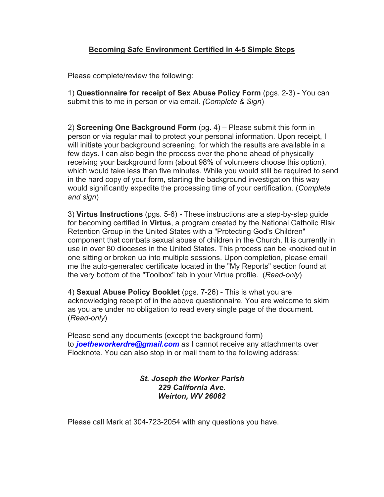### **Becoming Safe Environment Certified in 4-5 Simple Steps**

Please complete/review the following:

1) **Questionnaire for receipt of Sex Abuse Policy Form** (pgs. 2-3) - You can submit this to me in person or via email. *(Complete & Sign*)

2) **Screening One Background Form** (pg. 4) – Please submit this form in person or via regular mail to protect your personal information. Upon receipt, I will initiate your background screening, for which the results are available in a few days. I can also begin the process over the phone ahead of physically receiving your background form (about 98% of volunteers choose this option), which would take less than five minutes. While you would still be required to send in the hard copy of your form, starting the background investigation this way would significantly expedite the processing time of your certification. (*Complete and sign*)

3) **Virtus Instructions** (pgs. 5-6) **-** These instructions are a step-by-step guide for becoming certified in **Virtus**, a program created by the National Catholic Risk Retention Group in the United States with a "Protecting God's Children" component that combats sexual abuse of children in the Church. It is currently in use in over 80 dioceses in the United States. This process can be knocked out in one sitting or broken up into multiple sessions. Upon completion, please email me the auto-generated certificate located in the "My Reports" section found at the very bottom of the "Toolbox" tab in your Virtue profile. (*Read-only*)

4) **Sexual Abuse Policy Booklet** (pgs. 7-26) - This is what you are acknowledging receipt of in the above questionnaire. You are welcome to skim as you are under no obligation to read every single page of the document. (*Read-only*)

Please send any documents (except the background form) to *[joetheworkerdre@gmail.com](mailto:joetheworkerdre@gmail.com) as* I cannot receive any attachments over Flocknote. You can also stop in or mail them to the following address:

### *St. Joseph the Worker Parish 229 California Ave. Weirton, WV 26062*

Please call Mark at 304-723-2054 with any questions you have.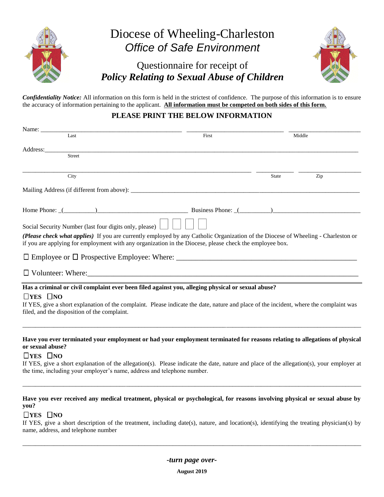

*Confidentiality Notice:* All information on this form is held in the strictest of confidence. The purpose of this information is to ensure the accuracy of information pertaining to the applicant. **All information must be competed on both sides of this form.**

### **PLEASE PRINT THE BELOW INFORMATION**

| Name:                |                                                        |                                                                                                                                                                                                                                              |       |        |
|----------------------|--------------------------------------------------------|----------------------------------------------------------------------------------------------------------------------------------------------------------------------------------------------------------------------------------------------|-------|--------|
|                      | Last                                                   | First                                                                                                                                                                                                                                        |       | Middle |
| Address:             |                                                        |                                                                                                                                                                                                                                              |       |        |
|                      | <b>Street</b>                                          |                                                                                                                                                                                                                                              |       |        |
|                      | City                                                   |                                                                                                                                                                                                                                              | State | Zip    |
|                      |                                                        |                                                                                                                                                                                                                                              |       |        |
|                      |                                                        |                                                                                                                                                                                                                                              |       |        |
|                      | Social Security Number (last four digits only, please) |                                                                                                                                                                                                                                              |       |        |
|                      |                                                        | (Please check what applies) If you are currently employed by any Catholic Organization of the Diocese of Wheeling - Charleston or<br>if you are applying for employment with any organization in the Diocese, please check the employee box. |       |        |
|                      |                                                        |                                                                                                                                                                                                                                              |       |        |
|                      |                                                        |                                                                                                                                                                                                                                              |       |        |
|                      |                                                        | Has a criminal or civil complaint ever been filed against you, alleging physical or sexual abuse?                                                                                                                                            |       |        |
| $\Box$ YES $\Box$ NO | filed, and the disposition of the complaint.           | If YES, give a short explanation of the complaint. Please indicate the date, nature and place of the incident, where the complaint was                                                                                                       |       |        |
| or sexual abuse?     |                                                        | Have you ever terminated your employment or had your employment terminated for reasons relating to allegations of physical                                                                                                                   |       |        |
| $\Box$ YES $\Box$ NO |                                                        |                                                                                                                                                                                                                                              |       |        |
|                      |                                                        | If YES, give a short explanation of the allegation(s). Please indicate the date, nature and place of the allegation(s), your employer at<br>the time, including your employer's name, address and telephone number.                          |       |        |
| vou?                 |                                                        | Have you ever received any medical treatment, physical or psychological, for reasons involving physical or sexual abuse by                                                                                                                   |       |        |

#### **THES NO**

If YES, give a short description of the treatment, including date(s), nature, and location(s), identifying the treating physician(s) by name, address, and telephone number

\_\_\_\_\_\_\_\_\_\_\_\_\_\_\_\_\_\_\_\_\_\_\_\_\_\_\_\_\_\_\_\_\_\_\_\_\_\_\_\_\_\_\_\_\_\_\_\_\_\_\_\_\_\_\_\_\_\_\_\_\_\_\_\_\_\_\_\_\_\_\_\_\_\_\_\_\_\_\_\_\_\_\_\_\_\_\_\_\_\_\_\_\_\_\_\_\_\_\_\_\_\_\_\_\_\_\_\_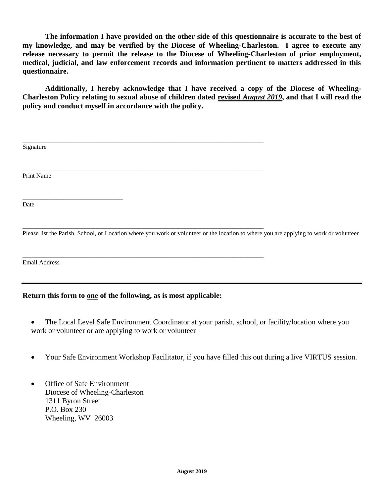**The information I have provided on the other side of this questionnaire is accurate to the best of my knowledge, and may be verified by the Diocese of Wheeling-Charleston. I agree to execute any release necessary to permit the release to the Diocese of Wheeling-Charleston of prior employment, medical, judicial, and law enforcement records and information pertinent to matters addressed in this questionnaire.**

**Additionally, I hereby acknowledge that I have received a copy of the Diocese of Wheeling-Charleston Policy relating to sexual abuse of children dated revised** *August 2019***, and that I will read the policy and conduct myself in accordance with the policy.**

| Signature                                                                                                                              |  |
|----------------------------------------------------------------------------------------------------------------------------------------|--|
|                                                                                                                                        |  |
| Print Name                                                                                                                             |  |
|                                                                                                                                        |  |
| Date                                                                                                                                   |  |
|                                                                                                                                        |  |
| Please list the Parish, School, or Location where you work or volunteer or the location to where you are applying to work or volunteer |  |
|                                                                                                                                        |  |
| <b>Email Address</b>                                                                                                                   |  |
|                                                                                                                                        |  |
| Return this form to one of the following, as is most applicable:                                                                       |  |

- The Local Level Safe Environment Coordinator at your parish, school, or facility/location where you work or volunteer or are applying to work or volunteer
- Your Safe Environment Workshop Facilitator, if you have filled this out during a live VIRTUS session.
- Office of Safe Environment Diocese of Wheeling-Charleston 1311 Byron Street P.O. Box 230 Wheeling, WV 26003

ł,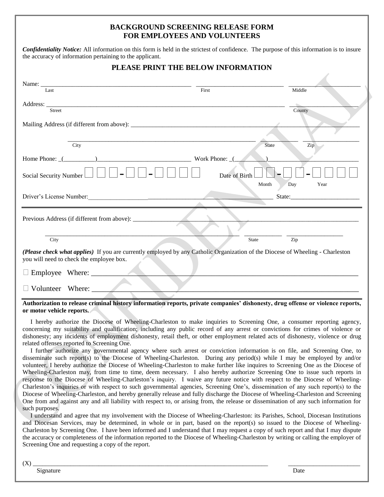### **BACKGROUND SCREENING RELEASE FORM FOR EMPLOYEES AND VOLUNTEERS**

| <b>Confidentiality Notice:</b> All information on this form is held in the strictest of confidence. The purpose of this information is to insure |  |
|--------------------------------------------------------------------------------------------------------------------------------------------------|--|
| the accuracy of information pertaining to the applicant.                                                                                         |  |

### **PLEASE PRINT THE BELOW INFORMATION**

| Last                                                                                                                                                                       | First           |                     | Middle                                                                                                                                                                                                                         |
|----------------------------------------------------------------------------------------------------------------------------------------------------------------------------|-----------------|---------------------|--------------------------------------------------------------------------------------------------------------------------------------------------------------------------------------------------------------------------------|
| Street                                                                                                                                                                     |                 |                     | County                                                                                                                                                                                                                         |
|                                                                                                                                                                            |                 |                     |                                                                                                                                                                                                                                |
| City                                                                                                                                                                       |                 | <b>State</b>        | Zip                                                                                                                                                                                                                            |
| Home Phone: $($                                                                                                                                                            | Work Phone: $($ |                     |                                                                                                                                                                                                                                |
| Social Security Number                                                                                                                                                     | Date of Birth   |                     |                                                                                                                                                                                                                                |
|                                                                                                                                                                            |                 | Day<br>Month        | Year                                                                                                                                                                                                                           |
| Driver's License Number:<br><u> License Number:</u>                                                                                                                        |                 |                     | State: The State State State State State State State State State State State State State State State State State State State State State State State State State State State State State State State State State State State S |
|                                                                                                                                                                            |                 |                     |                                                                                                                                                                                                                                |
| City                                                                                                                                                                       |                 | Zip<br><b>State</b> |                                                                                                                                                                                                                                |
| (Please check what applies) If you are currently employed by any Catholic Organization of the Diocese of Wheeling - Charleston<br>you will need to check the employee box. |                 |                     |                                                                                                                                                                                                                                |
| Employee Where:                                                                                                                                                            |                 |                     |                                                                                                                                                                                                                                |
| Volunteer Where:                                                                                                                                                           |                 |                     |                                                                                                                                                                                                                                |

#### **Authorization to release criminal history information reports, private companies' dishonesty, drug offense or violence reports, or motor vehicle reports.**

 I hereby authorize the Diocese of Wheeling-Charleston to make inquiries to Screening One, a consumer reporting agency, concerning my suitability and qualification; including any public record of any arrest or convictions for crimes of violence or dishonesty; any incidents of employment dishonesty, retail theft, or other employment related acts of dishonesty, violence or drug related offenses reported to Screening One.

 I further authorize any governmental agency where such arrest or conviction information is on file, and Screening One, to disseminate such report(s) to the Diocese of Wheeling-Charleston. During any period(s) while I may be employed by and/or volunteer, I hereby authorize the Diocese of Wheeling-Charleston to make further like inquires to Screening One as the Diocese of Wheeling-Charleston may, from time to time, deem necessary. I also hereby authorize Screening One to issue such reports in response to the Diocese of Wheeling-Charleston's inquiry. I waive any future notice with respect to the Diocese of Wheeling-Charleston's inquiries or with respect to such governmental agencies, Screening One's, dissemination of any such report(s) to the Diocese of Wheeling-Charleston, and hereby generally release and fully discharge the Diocese of Wheeling-Charleston and Screening One from and against any and all liability with respect to, or arising from, the release or dissemination of any such information for such purposes.

 I understand and agree that my involvement with the Diocese of Wheeling-Charleston: its Parishes, School, Diocesan Institutions and Diocesan Services, may be determined, in whole or in part, based on the report(s) so issued to the Diocese of Wheeling-Charleston by Screening One. I have been informed and I understand that I may request a copy of such report and that I may dispute the accuracy or completeness of the information reported to the Diocese of Wheeling-Charleston by writing or calling the employer of Screening One and requesting a copy of the report.

(X) \_\_\_\_\_\_\_\_\_\_\_\_\_\_\_\_\_\_\_\_\_\_\_\_\_\_\_\_\_\_\_\_\_\_\_\_\_\_\_\_\_\_\_\_\_\_\_\_\_\_\_\_\_\_\_\_\_\_\_\_\_\_\_\_\_\_\_\_\_\_\_\_\_\_\_ \_\_\_\_\_\_\_\_\_\_\_\_\_\_\_\_\_\_\_\_\_\_\_

Signature Date Date of the Second Laboratory of the Second Laboratory of the Date Date Date of the Date of the Date of the United States of the United States of the United States of the United States of the United States o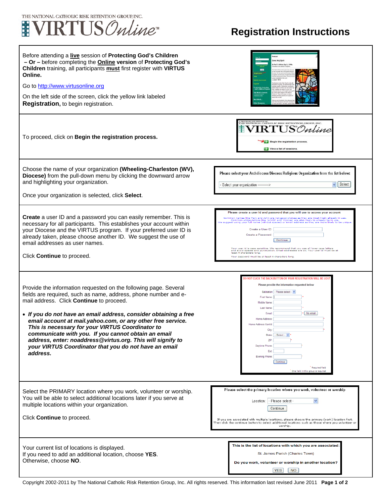

## **Registration Instructions**

| Before attending a live session of Protecting God's Children<br>- Or - before completing the <b>Online</b> version of Protecting God's<br>Children training, all participants must first register with VIRTUS<br>Online.<br>Go to http://www.virtusonline.org<br>On the left side of the screen, click the yellow link labeled<br>Registration, to begin registration.                                                                                                                                                                                           | e, Holy Spirk                                                                                                                                                                                                                                                                                                                                                                                                                                                                                                                                                                                                                                                                                                                                                                                        |
|------------------------------------------------------------------------------------------------------------------------------------------------------------------------------------------------------------------------------------------------------------------------------------------------------------------------------------------------------------------------------------------------------------------------------------------------------------------------------------------------------------------------------------------------------------------|------------------------------------------------------------------------------------------------------------------------------------------------------------------------------------------------------------------------------------------------------------------------------------------------------------------------------------------------------------------------------------------------------------------------------------------------------------------------------------------------------------------------------------------------------------------------------------------------------------------------------------------------------------------------------------------------------------------------------------------------------------------------------------------------------|
| To proceed, click on Begin the registration process.                                                                                                                                                                                                                                                                                                                                                                                                                                                                                                             | THE NATIONAL CATHOLIC RISK RETENTION GROUP, INC.<br><b>RTUS</b> Online<br>Begin the registration process.<br>View a list of sessions                                                                                                                                                                                                                                                                                                                                                                                                                                                                                                                                                                                                                                                                 |
| Choose the name of your organization (Wheeling-Charleston (WV),<br>Diocese) from the pull-down menu by clicking the downward arrow<br>and highlighting your organization.<br>Once your organization is selected, click Select.                                                                                                                                                                                                                                                                                                                                   | Please select your Archdiocese/Diocese/Religious Organization from the list below:<br>Select<br>Select your organization ---------->                                                                                                                                                                                                                                                                                                                                                                                                                                                                                                                                                                                                                                                                 |
| Create a user ID and a password you can easily remember. This is<br>necessary for all participants. This establishes your account within<br>your Diocese and the VIRTUS program. If your preferred user ID is<br>already taken, please choose another ID. We suggest the use of<br>email addresses as user names.<br>Click Continue to proceed.                                                                                                                                                                                                                  | Please create a user id and password that you will use to access your account<br>Common names like Mary and John are not good choices as they are most likely already in use.<br>Common abbreviations like 'jsmith' and 'mjones' are also likely to already be in use.<br>suggest using your full name (without spaces) or email address as they are more likely to be<br>Create a User ID:<br>Create a Password:<br>Continue<br>Your user id is case sensitive. We recommend that you use all lower case letters<br>cally and the corresponding to the commentation of you use all lower compared and purchased and purchased and i<br>In the state of the state of punctuation. Email addresses are ok. Your user<br>least 4 characters long.<br>Your password must be at least 4 characters long. |
| Provide the information requested on the following page. Several<br>fields are required, such as name, address, phone number and e-<br>mail address. Click Continue to proceed.<br>• If you do not have an email address, consider obtaining a free<br>email account at mail.yahoo.com, or any other free service.<br>This is necessary for your VIRTUS Coordinator to<br>communicate with you. If you cannot obtain an email<br>address, enter: noaddress@virtus.org. This will signify to<br>your VIRTUS Coordinator that you do not have an email<br>address. | ) NOT CLICK THE BACK BUTTON OR YOUR REGISTRATION WILL BE LO<br>Please provide the information requested below<br>Salutation - Please select - v<br>First Name:<br>Middle Name:<br><b>Last Name</b><br>No email<br>Email<br>Home Address<br>Home Address Cont'd<br><b>State:</b><br>-- Select -- Y<br>2IF<br>Daytime Phone<br>Ext<br>Evening Phone<br>Continue<br>Required field<br>One field in this group is required                                                                                                                                                                                                                                                                                                                                                                               |
| Select the PRIMARY location where you work, volunteer or worship.<br>You will be able to select additional locations later if you serve at<br>multiple locations within your organization.<br>Click Continue to proceed.                                                                                                                                                                                                                                                                                                                                         | Please select the primary location where you work, volunteer or worship<br>- Please select -<br>Location:<br>Continue<br>If you are associated with multiple locations, please choose the primary (work) location first.<br>Then click the continue button to select additional locations such as those where you volunteer or<br>worship                                                                                                                                                                                                                                                                                                                                                                                                                                                            |
| Your current list of locations is displayed.<br>If you need to add an additional location, choose YES.<br>Otherwise, choose NO.                                                                                                                                                                                                                                                                                                                                                                                                                                  | This is the list of locations with which you are associated:<br>St. James Parish (Charles Town)<br>Do you work, volunteer or worship in another location?<br><b>YES</b><br>NO                                                                                                                                                                                                                                                                                                                                                                                                                                                                                                                                                                                                                        |

Copyright 2002-2011 by The National Catholic Risk Retention Group, Inc. All rights reserved. This information last revised June 2011 **Page 1 of 2**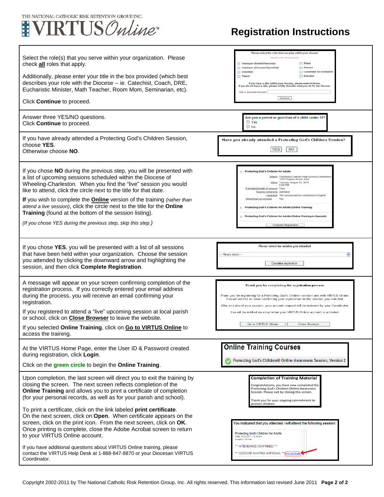

Г

## **Registration Instructions**

٦

| Select the role(s) that you serve within your organization. Please<br>check <b>all</b> roles that apply.<br>Additionally, please enter your title in the box provided (which best<br>describes your role with the Diocese -- ie. Catechist, Coach, DRE,<br>Eucharistic Minister, Math Teacher, Room Mom, Seminarian, etc).<br>Click Continue to proceed.                                                                                                                                                                                                             | Please select the roles that you play within your diocese<br>Please check all that apply.<br>Employee (Parish/Parochial)<br><b>Priest</b><br>Employee (Diocesan/Eparchial)<br>Deacon<br>Volunteer<br>Candidate for ordination<br>Educator<br>Parent<br>If you have a title within your diocese, please enter it below.<br>If you do not have a title, please briefly describe what you do for the diocese.<br>Title or Diocesan function:<br>Continue                                                             |
|----------------------------------------------------------------------------------------------------------------------------------------------------------------------------------------------------------------------------------------------------------------------------------------------------------------------------------------------------------------------------------------------------------------------------------------------------------------------------------------------------------------------------------------------------------------------|-------------------------------------------------------------------------------------------------------------------------------------------------------------------------------------------------------------------------------------------------------------------------------------------------------------------------------------------------------------------------------------------------------------------------------------------------------------------------------------------------------------------|
| Answer three YES/NO questions.<br>Click Continue to proceed.                                                                                                                                                                                                                                                                                                                                                                                                                                                                                                         | Are you a parent or guardian of a child under 18?<br>O Yes<br>$\bigcirc$ No                                                                                                                                                                                                                                                                                                                                                                                                                                       |
| If you have already attended a Protecting God's Children Session,<br>choose YES.<br>Otherwise choose NO.                                                                                                                                                                                                                                                                                                                                                                                                                                                             | Have you already attended a Protecting God's Children Session?<br>YES<br>NO.                                                                                                                                                                                                                                                                                                                                                                                                                                      |
| If you chose NO during the previous step, you will be presented with<br>a list of upcoming sessions scheduled within the Diocese of<br>Wheeling-Charleston. When you find the "live" session you would<br>like to attend, click the circle next to the title for that date.<br>If you wish to complete the Online version of the training (rather than<br>attend a live session), click the circle next to the title for the Online<br><b>Training</b> (found at the bottom of the session listing).<br>(If you chose YES during the previous step, skip this step.) | Protecting God's Children for Adults<br>Where: Charleston Catholic High School (Charleston)<br>1033 Virginia Street, East<br>When: Tuesday, August 23, 2011<br>6:00 PM<br>Estimated length of session: 3 hrs<br>Spaces remaining: unlimited<br>Language: This session will be conducted in English<br>Wheelchair accessible:<br>Yes<br>Protecting God's Children for Adults (Online Training)<br>$\circ$<br>Protecting God's Children for Adults (Online Training in Spanish)<br>$\circ$<br>Complete Registration |
| If you chose YES, you will be presented with a list of all sessions<br>that have been held within your organization. Choose the session<br>you attended by clicking the downward arrow and highlighting the<br>session, and then click Complete Registration.                                                                                                                                                                                                                                                                                                        | Please select the session you attended<br>- Please select --<br>Complete registration                                                                                                                                                                                                                                                                                                                                                                                                                             |
| A message will appear on your screen confirming completion of the<br>registration process. If you correctly entered your email address<br>during the process, you will receive an email confirming your<br>registration.<br>If you registered to attend a "live" upcoming session at local parish<br>or school, click on <b>Close Browser</b> to leave the website.<br>If you selected Online Training, click on Go to VIRTUS Online to<br>access the training.                                                                                                      | Thank you for completing the registration process.<br>Thank you for registering for a Protecting God's Children session and with VIRTUS Online.<br>You will receive an email confirming your registration for the session you selected.<br>After you attend your session, your account request will be reviewed by your Coordinator.<br>You will be notified via email when your VIRTUS Online account is activated.<br>Go to VIRTUS Online<br>Close Browser                                                      |
| At the VIRTUS Home Page, enter the User ID & Password created<br>during registration, click Login.<br>Click on the green circle to begin the Online Training.                                                                                                                                                                                                                                                                                                                                                                                                        | <b>Online Training Courses</b><br>Protecting God's Children® Online Awareness Session, Version 2                                                                                                                                                                                                                                                                                                                                                                                                                  |
| Upon completion, the last screen will direct you to exit the training by<br>closing the screen. The next screen reflects completion of the<br>Online Training and allows you to print a certificate of completion<br>(for your personal records, as well as for your parish and school).<br>To print a certificate, click on the link labeled print certificate.                                                                                                                                                                                                     | <b>Completion of Training Material</b><br>Congratulations, you have now completed the<br>Protecting God's Children Online Awareness<br>Session. Please exit by closing this screen.<br>Thank you for your ongoing commitment to<br>protect children.                                                                                                                                                                                                                                                              |
| On the next screen, click on Open. When certificate appears on the<br>screen, click on the print icon. From the next screen, click on OK.<br>Once printing is complete, close the Adobe Acrobat screen to return<br>to your VIRTUS Online account.<br>If you have additional questions about VIRTUS Online training, please<br>contact the VIRTUS Help Desk at 1-888-847-8870 or your Diocesan VIRTUS<br>Coordinator.                                                                                                                                                | You indicated that you attended / will attend the following session:<br><b>Protecting God's Children for Adults</b><br>Date: 03/23/2011 10:35 AM<br>Location: Online<br>*** ATTENDANCE CONFIRMED ***<br>ACCOUNT AWAITING APPROVAL *** Print certificate                                                                                                                                                                                                                                                           |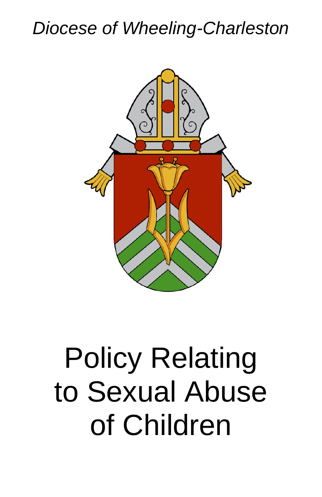## *Diocese of Wheeling-Charleston*



# Policy Relating to Sexual Abuse of Children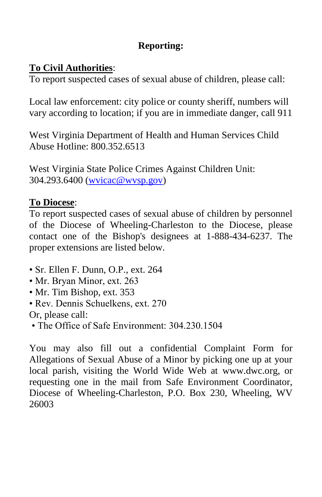### **Reporting:**

### **To Civil Authorities**:

To report suspected cases of sexual abuse of children, please call:

Local law enforcement: city police or county sheriff, numbers will vary according to location; if you are in immediate danger, call 911

West Virginia Department of Health and Human Services Child Abuse Hotline: 800.352.6513

West Virginia State Police Crimes Against Children Unit: 304.293.6400 [\(wvicac@wvsp.gov\)](mailto:wvicac@wvsp.gov)

### **To Diocese**:

To report suspected cases of sexual abuse of children by personnel of the Diocese of Wheeling-Charleston to the Diocese, please contact one of the Bishop's designees at 1-888-434-6237. The proper extensions are listed below.

- Sr. Ellen F. Dunn, O.P., ext. 264
- Mr. Bryan Minor, ext. 263
- Mr. Tim Bishop, ext. 353
- Rev. Dennis Schuelkens, ext. 270

Or, please call:

• The Office of Safe Environment: 304 230 1504

You may also fill out a confidential Complaint Form for Allegations of Sexual Abuse of a Minor by picking one up at your local parish, visiting the World Wide Web at www.dwc.org, or requesting one in the mail from Safe Environment Coordinator, Diocese of Wheeling-Charleston, P.O. Box 230, Wheeling, WV 26003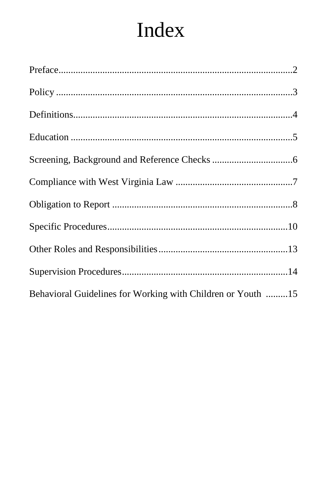## Index

| Behavioral Guidelines for Working with Children or Youth 15 |  |
|-------------------------------------------------------------|--|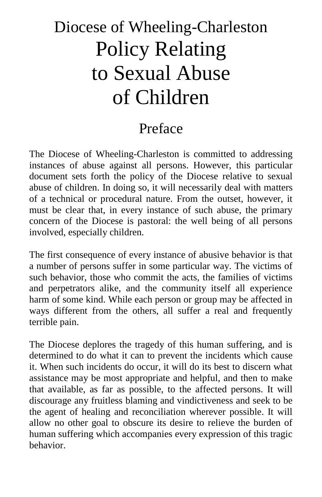## Diocese of Wheeling-Charleston Policy Relating to Sexual Abuse of Children

## Preface

The Diocese of Wheeling-Charleston is committed to addressing instances of abuse against all persons. However, this particular document sets forth the policy of the Diocese relative to sexual abuse of children. In doing so, it will necessarily deal with matters of a technical or procedural nature. From the outset, however, it must be clear that, in every instance of such abuse, the primary concern of the Diocese is pastoral: the well being of all persons involved, especially children.

The first consequence of every instance of abusive behavior is that a number of persons suffer in some particular way. The victims of such behavior, those who commit the acts, the families of victims and perpetrators alike, and the community itself all experience harm of some kind. While each person or group may be affected in ways different from the others, all suffer a real and frequently terrible pain.

The Diocese deplores the tragedy of this human suffering, and is determined to do what it can to prevent the incidents which cause it. When such incidents do occur, it will do its best to discern what assistance may be most appropriate and helpful, and then to make that available, as far as possible, to the affected persons. It will discourage any fruitless blaming and vindictiveness and seek to be the agent of healing and reconciliation wherever possible. It will allow no other goal to obscure its desire to relieve the burden of human suffering which accompanies every expression of this tragic behavior.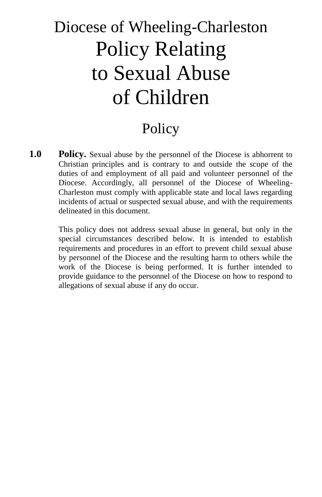## Diocese of Wheeling-Charleston Policy Relating to Sexual Abuse of Children

### Policy

**1.0 Policy.** Sexual abuse by the personnel of the Diocese is abhorrent to Christian principles and is contrary to and outside the scope of the duties of and employment of all paid and volunteer personnel of the Diocese. Accordingly, all personnel of the Diocese of Wheeling-Charleston must comply with applicable state and local laws regarding incidents of actual or suspected sexual abuse, and with the requirements delineated in this document.

> This policy does not address sexual abuse in general, but only in the special circumstances described below. It is intended to establish requirements and procedures in an effort to prevent child sexual abuse by personnel of the Diocese and the resulting harm to others while the work of the Diocese is being performed. It is further intended to provide guidance to the personnel of the Diocese on how to respond to allegations of sexual abuse if any do occur.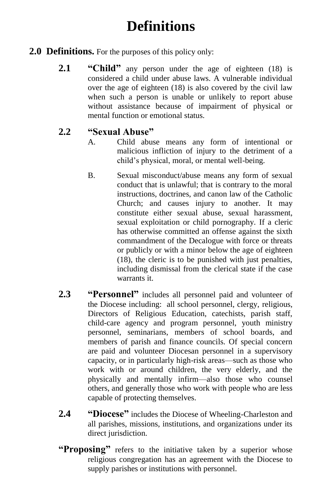## **Definitions**

#### **2.0 Definitions.** For the purposes of this policy only:

**2.1 "Child"** any person under the age of eighteen (18) is considered a child under abuse laws. A vulnerable individual over the age of eighteen (18) is also covered by the civil law when such a person is unable or unlikely to report abuse without assistance because of impairment of physical or mental function or emotional status.

### **2.2 "Sexual Abuse"**

- A. Child abuse means any form of intentional or malicious infliction of injury to the detriment of a child's physical, moral, or mental well-being.
- B. Sexual misconduct/abuse means any form of sexual conduct that is unlawful; that is contrary to the moral instructions, doctrines, and canon law of the Catholic Church; and causes injury to another. It may constitute either sexual abuse, sexual harassment, sexual exploitation or child pornography. If a cleric has otherwise committed an offense against the sixth commandment of the Decalogue with force or threats or publicly or with a minor below the age of eighteen (18), the cleric is to be punished with just penalties, including dismissal from the clerical state if the case warrants it.
- **2.3 "Personnel"** includes all personnel paid and volunteer of the Diocese including: all school personnel, clergy, religious, Directors of Religious Education, catechists, parish staff, child-care agency and program personnel, youth ministry personnel, seminarians, members of school boards, and members of parish and finance councils. Of special concern are paid and volunteer Diocesan personnel in a supervisory capacity, or in particularly high-risk areas—such as those who work with or around children, the very elderly, and the physically and mentally infirm—also those who counsel others, and generally those who work with people who are less capable of protecting themselves.
- **2.4 "Diocese"** includes the Diocese of Wheeling-Charleston and all parishes, missions, institutions, and organizations under its direct jurisdiction.
- **"Proposing"** refers to the initiative taken by a superior whose religious congregation has an agreement with the Diocese to supply parishes or institutions with personnel.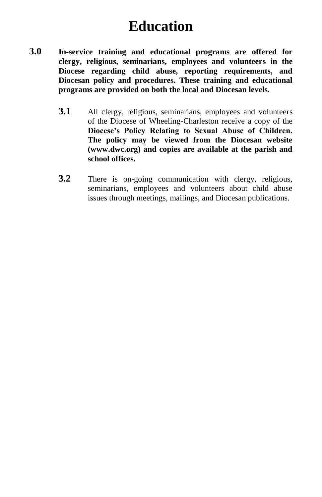### **Education**

- **3.0 In-service training and educational programs are offered for clergy, religious, seminarians, employees and volunteers in the Diocese regarding child abuse, reporting requirements, and Diocesan policy and procedures. These training and educational programs are provided on both the local and Diocesan levels.**
	- **3.1** All clergy, religious, seminarians, employees and volunteers of the Diocese of Wheeling-Charleston receive a copy of the **Diocese's Policy Relating to Sexual Abuse of Children. The policy may be viewed from the Diocesan website (www.dwc.org) and copies are available at the parish and school offices.**
	- **3.2** There is on-going communication with clergy, religious, seminarians, employees and volunteers about child abuse issues through meetings, mailings, and Diocesan publications.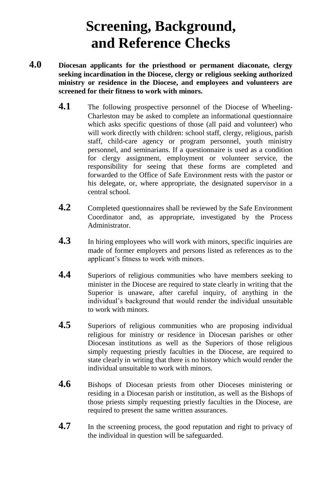## **Screening, Background, and Reference Checks**

- **4.0 Diocesan applicants for the priesthood or permanent diaconate, clergy seeking incardination in the Diocese, clergy or religious seeking authorized ministry or residence in the Diocese, and employees and volunteers are screened for their fitness to work with minors.**
	- 4.1 The following prospective personnel of the Diocese of Wheeling-Charleston may be asked to complete an informational questionnaire which asks specific questions of those (all paid and volunteer) who will work directly with children: school staff, clergy, religious, parish staff, child-care agency or program personnel, youth ministry personnel, and seminarians. If a questionnaire is used as a condition for clergy assignment, employment or volunteer service, the responsibility for seeing that these forms are completed and forwarded to the Office of Safe Environment rests with the pastor or his delegate, or, where appropriate, the designated supervisor in a central school.
	- **4.2** Completed questionnaires shall be reviewed by the Safe Environment Coordinator and, as appropriate, investigated by the Process Administrator.
	- **4.3** In hiring employees who will work with minors, specific inquiries are made of former employers and persons listed as references as to the applicant's fitness to work with minors.
	- **4.4** Superiors of religious communities who have members seeking to minister in the Diocese are required to state clearly in writing that the Superior is unaware, after careful inquiry, of anything in the individual's background that would render the individual unsuitable to work with minors.
	- **4.5** Superiors of religious communities who are proposing individual religious for ministry or residence in Diocesan parishes or other Diocesan institutions as well as the Superiors of those religious simply requesting priestly faculties in the Diocese, are required to state clearly in writing that there is no history which would render the individual unsuitable to work with minors.
	- **4.6** Bishops of Diocesan priests from other Dioceses ministering or residing in a Diocesan parish or institution, as well as the Bishops of those priests simply requesting priestly faculties in the Diocese, are required to present the same written assurances.
	- **4.7** In the screening process, the good reputation and right to privacy of the individual in question will be safeguarded.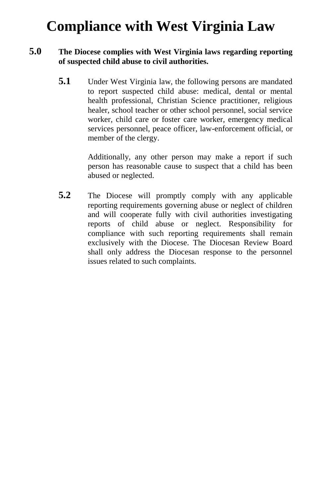## **Compliance with West Virginia Law**

#### **5.0 The Diocese complies with West Virginia laws regarding reporting of suspected child abuse to civil authorities.**

**5.1** Under West Virginia law, the following persons are mandated to report suspected child abuse: medical, dental or mental health professional, Christian Science practitioner, religious healer, school teacher or other school personnel, social service worker, child care or foster care worker, emergency medical services personnel, peace officer, law-enforcement official, or member of the clergy.

> Additionally, any other person may make a report if such person has reasonable cause to suspect that a child has been abused or neglected.

**5.2** The Diocese will promptly comply with any applicable reporting requirements governing abuse or neglect of children and will cooperate fully with civil authorities investigating reports of child abuse or neglect. Responsibility for compliance with such reporting requirements shall remain exclusively with the Diocese. The Diocesan Review Board shall only address the Diocesan response to the personnel issues related to such complaints.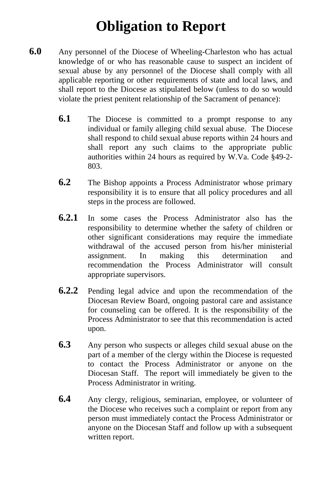## **Obligation to Report**

- **6.0** Any personnel of the Diocese of Wheeling-Charleston who has actual knowledge of or who has reasonable cause to suspect an incident of sexual abuse by any personnel of the Diocese shall comply with all applicable reporting or other requirements of state and local laws, and shall report to the Diocese as stipulated below (unless to do so would violate the priest penitent relationship of the Sacrament of penance):
	- **6.1** The Diocese is committed to a prompt response to any individual or family alleging child sexual abuse. The Diocese shall respond to child sexual abuse reports within 24 hours and shall report any such claims to the appropriate public authorities within 24 hours as required by W.Va. Code §49-2- 803.
	- **6.2** The Bishop appoints a Process Administrator whose primary responsibility it is to ensure that all policy procedures and all steps in the process are followed.
	- **6.2.1** In some cases the Process Administrator also has the responsibility to determine whether the safety of children or other significant considerations may require the immediate withdrawal of the accused person from his/her ministerial assignment. In making this determination and recommendation the Process Administrator will consult appropriate supervisors.
	- **6.2.2** Pending legal advice and upon the recommendation of the Diocesan Review Board, ongoing pastoral care and assistance for counseling can be offered. It is the responsibility of the Process Administrator to see that this recommendation is acted upon.
	- **6.3** Any person who suspects or alleges child sexual abuse on the part of a member of the clergy within the Diocese is requested to contact the Process Administrator or anyone on the Diocesan Staff. The report will immediately be given to the Process Administrator in writing.
	- **6.4** Any clergy, religious, seminarian, employee, or volunteer of the Diocese who receives such a complaint or report from any person must immediately contact the Process Administrator or anyone on the Diocesan Staff and follow up with a subsequent written report.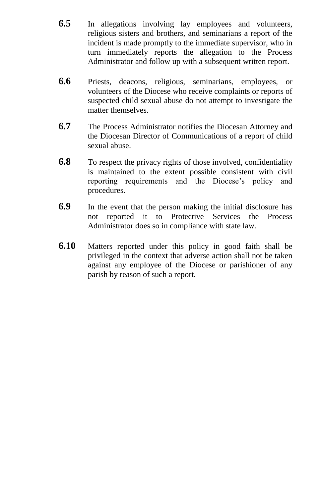- **6.5** In allegations involving lay employees and volunteers, religious sisters and brothers, and seminarians a report of the incident is made promptly to the immediate supervisor, who in turn immediately reports the allegation to the Process Administrator and follow up with a subsequent written report.
- **6.6** Priests, deacons, religious, seminarians, employees, or volunteers of the Diocese who receive complaints or reports of suspected child sexual abuse do not attempt to investigate the matter themselves.
- **6.7** The Process Administrator notifies the Diocesan Attorney and the Diocesan Director of Communications of a report of child sexual abuse.
- **6.8** To respect the privacy rights of those involved, confidentiality is maintained to the extent possible consistent with civil reporting requirements and the Diocese's policy and procedures.
- **6.9** In the event that the person making the initial disclosure has not reported it to Protective Services the Process Administrator does so in compliance with state law.
- **6.10** Matters reported under this policy in good faith shall be privileged in the context that adverse action shall not be taken against any employee of the Diocese or parishioner of any parish by reason of such a report.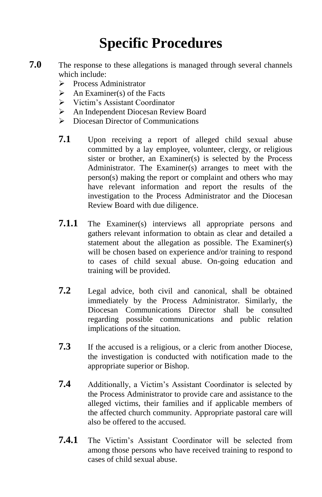## **Specific Procedures**

- **7.0** The response to these allegations is managed through several channels which include:
	- $\triangleright$  Process Administrator
	- $\triangleright$  An Examiner(s) of the Facts
	- Victim's Assistant Coordinator
	- An Independent Diocesan Review Board
	- **EXECUTE:** Diocesan Director of Communications
	- **7.1** Upon receiving a report of alleged child sexual abuse committed by a lay employee, volunteer, clergy, or religious sister or brother, an Examiner(s) is selected by the Process Administrator. The Examiner(s) arranges to meet with the person(s) making the report or complaint and others who may have relevant information and report the results of the investigation to the Process Administrator and the Diocesan Review Board with due diligence.
	- **7.1.1** The Examiner(s) interviews all appropriate persons and gathers relevant information to obtain as clear and detailed a statement about the allegation as possible. The Examiner(s) will be chosen based on experience and/or training to respond to cases of child sexual abuse. On-going education and training will be provided.
	- **7.2** Legal advice, both civil and canonical, shall be obtained immediately by the Process Administrator. Similarly, the Diocesan Communications Director shall be consulted regarding possible communications and public relation implications of the situation.
	- **7.3** If the accused is a religious, or a cleric from another Diocese, the investigation is conducted with notification made to the appropriate superior or Bishop.
	- **7.4** Additionally, a Victim's Assistant Coordinator is selected by the Process Administrator to provide care and assistance to the alleged victims, their families and if applicable members of the affected church community. Appropriate pastoral care will also be offered to the accused.
	- **7.4.1** The Victim's Assistant Coordinator will be selected from among those persons who have received training to respond to cases of child sexual abuse.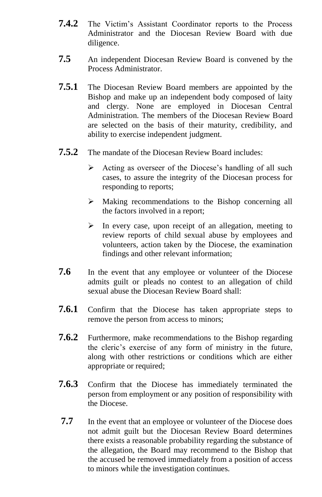- **7.4.2** The Victim's Assistant Coordinator reports to the Process Administrator and the Diocesan Review Board with due diligence.
- **7.5** An independent Diocesan Review Board is convened by the Process Administrator.
- **7.5.1** The Diocesan Review Board members are appointed by the Bishop and make up an independent body composed of laity and clergy. None are employed in Diocesan Central Administration. The members of the Diocesan Review Board are selected on the basis of their maturity, credibility, and ability to exercise independent judgment.
- **7.5.2** The mandate of the Diocesan Review Board includes:
	- $\triangleright$  Acting as overseer of the Diocese's handling of all such cases, to assure the integrity of the Diocesan process for responding to reports;
	- $\triangleright$  Making recommendations to the Bishop concerning all the factors involved in a report;
	- $\triangleright$  In every case, upon receipt of an allegation, meeting to review reports of child sexual abuse by employees and volunteers, action taken by the Diocese, the examination findings and other relevant information;
- **7.6** In the event that any employee or volunteer of the Diocese admits guilt or pleads no contest to an allegation of child sexual abuse the Diocesan Review Board shall:
- **7.6.1** Confirm that the Diocese has taken appropriate steps to remove the person from access to minors;
- **7.6.2** Furthermore, make recommendations to the Bishop regarding the cleric's exercise of any form of ministry in the future, along with other restrictions or conditions which are either appropriate or required;
- **7.6.3** Confirm that the Diocese has immediately terminated the person from employment or any position of responsibility with the Diocese.
- **7.7** In the event that an employee or volunteer of the Diocese does not admit guilt but the Diocesan Review Board determines there exists a reasonable probability regarding the substance of the allegation, the Board may recommend to the Bishop that the accused be removed immediately from a position of access to minors while the investigation continues.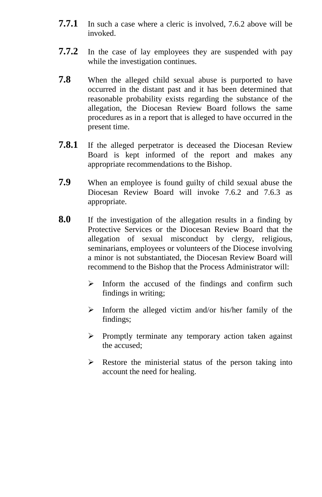- **7.7.1** In such a case where a cleric is involved, 7.6.2 above will be invoked.
- **7.7.2** In the case of lay employees they are suspended with pay while the investigation continues.
- **7.8** When the alleged child sexual abuse is purported to have occurred in the distant past and it has been determined that reasonable probability exists regarding the substance of the allegation, the Diocesan Review Board follows the same procedures as in a report that is alleged to have occurred in the present time.
- **7.8.1** If the alleged perpetrator is deceased the Diocesan Review Board is kept informed of the report and makes any appropriate recommendations to the Bishop.
- **7.9** When an employee is found guilty of child sexual abuse the Diocesan Review Board will invoke 7.6.2 and 7.6.3 as appropriate.
- **8.0** If the investigation of the allegation results in a finding by Protective Services or the Diocesan Review Board that the allegation of sexual misconduct by clergy, religious, seminarians, employees or volunteers of the Diocese involving a minor is not substantiated, the Diocesan Review Board will recommend to the Bishop that the Process Administrator will:
	- $\triangleright$  Inform the accused of the findings and confirm such findings in writing;
	- $\triangleright$  Inform the alleged victim and/or his/her family of the findings;
	- $\triangleright$  Promptly terminate any temporary action taken against the accused;
	- $\triangleright$  Restore the ministerial status of the person taking into account the need for healing.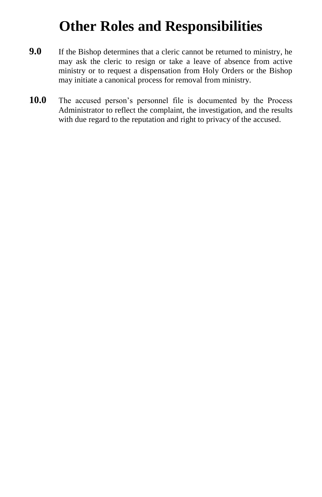### **Other Roles and Responsibilities**

- **9.0** If the Bishop determines that a cleric cannot be returned to ministry, he may ask the cleric to resign or take a leave of absence from active ministry or to request a dispensation from Holy Orders or the Bishop may initiate a canonical process for removal from ministry.
- **10.0** The accused person's personnel file is documented by the Process Administrator to reflect the complaint, the investigation, and the results with due regard to the reputation and right to privacy of the accused.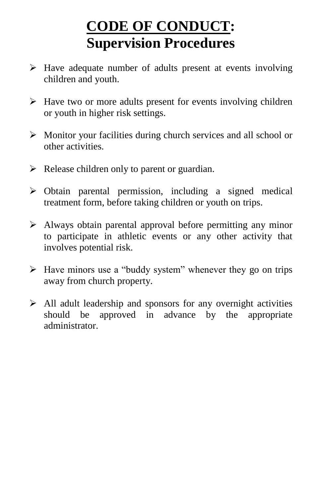## **CODE OF CONDUCT: Supervision Procedures**

- $\triangleright$  Have adequate number of adults present at events involving children and youth.
- $\triangleright$  Have two or more adults present for events involving children or youth in higher risk settings.
- Monitor your facilities during church services and all school or other activities.
- $\triangleright$  Release children only to parent or guardian.
- $\triangleright$  Obtain parental permission, including a signed medical treatment form, before taking children or youth on trips.
- Always obtain parental approval before permitting any minor to participate in athletic events or any other activity that involves potential risk.
- $\triangleright$  Have minors use a "buddy system" whenever they go on trips away from church property.
- $\triangleright$  All adult leadership and sponsors for any overnight activities should be approved in advance by the appropriate administrator.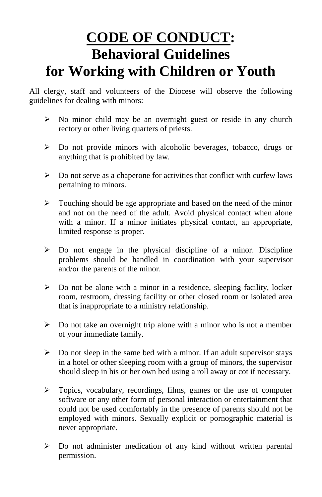## **CODE OF CONDUCT: Behavioral Guidelines for Working with Children or Youth**

All clergy, staff and volunteers of the Diocese will observe the following guidelines for dealing with minors:

- $\triangleright$  No minor child may be an overnight guest or reside in any church rectory or other living quarters of priests.
- $\triangleright$  Do not provide minors with alcoholic beverages, tobacco, drugs or anything that is prohibited by law.
- $\triangleright$  Do not serve as a chaperone for activities that conflict with curfew laws pertaining to minors.
- $\triangleright$  Touching should be age appropriate and based on the need of the minor and not on the need of the adult. Avoid physical contact when alone with a minor. If a minor initiates physical contact, an appropriate, limited response is proper.
- $\triangleright$  Do not engage in the physical discipline of a minor. Discipline problems should be handled in coordination with your supervisor and/or the parents of the minor.
- $\triangleright$  Do not be alone with a minor in a residence, sleeping facility, locker room, restroom, dressing facility or other closed room or isolated area that is inappropriate to a ministry relationship.
- $\triangleright$  Do not take an overnight trip alone with a minor who is not a member of your immediate family.
- $\triangleright$  Do not sleep in the same bed with a minor. If an adult supervisor stays in a hotel or other sleeping room with a group of minors, the supervisor should sleep in his or her own bed using a roll away or cot if necessary.
- $\triangleright$  Topics, vocabulary, recordings, films, games or the use of computer software or any other form of personal interaction or entertainment that could not be used comfortably in the presence of parents should not be employed with minors. Sexually explicit or pornographic material is never appropriate.
- $\triangleright$  Do not administer medication of any kind without written parental permission.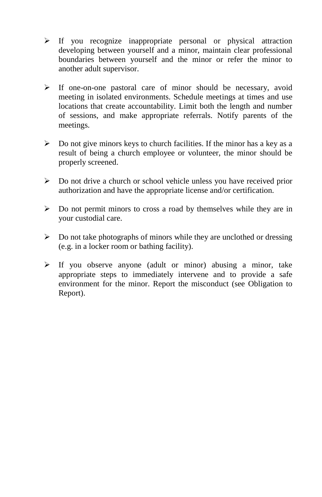- $\triangleright$  If you recognize inappropriate personal or physical attraction developing between yourself and a minor, maintain clear professional boundaries between yourself and the minor or refer the minor to another adult supervisor.
- $\triangleright$  If one-on-one pastoral care of minor should be necessary, avoid meeting in isolated environments. Schedule meetings at times and use locations that create accountability. Limit both the length and number of sessions, and make appropriate referrals. Notify parents of the meetings.
- $\triangleright$  Do not give minors keys to church facilities. If the minor has a key as a result of being a church employee or volunteer, the minor should be properly screened.
- $\triangleright$  Do not drive a church or school vehicle unless you have received prior authorization and have the appropriate license and/or certification.
- $\triangleright$  Do not permit minors to cross a road by themselves while they are in your custodial care.
- $\triangleright$  Do not take photographs of minors while they are unclothed or dressing (e.g. in a locker room or bathing facility).
- $\triangleright$  If you observe anyone (adult or minor) abusing a minor, take appropriate steps to immediately intervene and to provide a safe environment for the minor. Report the misconduct (see Obligation to Report).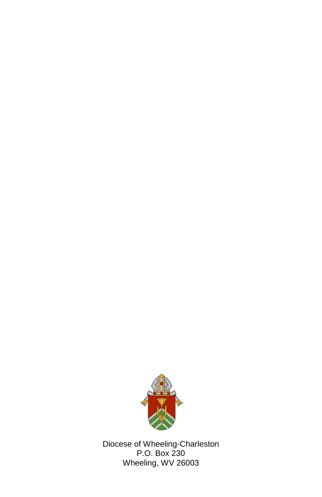

Diocese of Wheeling-Charleston P.O. Box 230 Wheeling, WV 26003